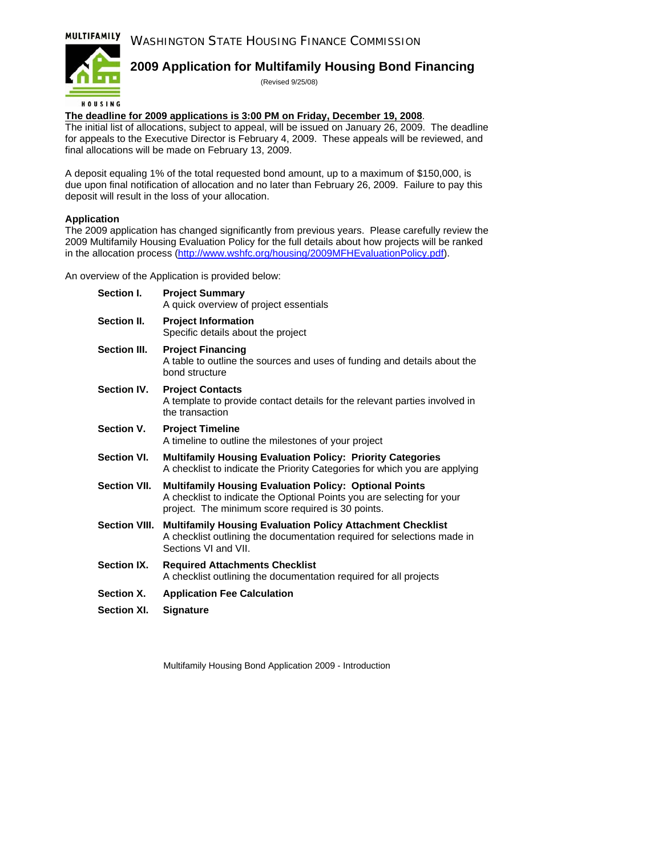#### MULTIFAMILY WASHINGTON STATE HOUSING FINANCE COMMISSION



### **2009 Application for Multifamily Housing Bond Financing**

(Revised 9/25/08)

### **The deadline for 2009 applications is 3:00 PM on Friday, December 19, 2008**.

The initial list of allocations, subject to appeal, will be issued on January 26, 2009. The deadline for appeals to the Executive Director is February 4, 2009. These appeals will be reviewed, and final allocations will be made on February 13, 2009.

A deposit equaling 1% of the total requested bond amount, up to a maximum of \$150,000, is due upon final notification of allocation and no later than February 26, 2009. Failure to pay this deposit will result in the loss of your allocation.

### **Application**

The 2009 application has changed significantly from previous years. Please carefully review the 2009 Multifamily Housing Evaluation Policy for the full details about how projects will be ranked in the allocation process (<http://www.wshfc.org/housing/2009MFHEvaluationPolicy.pdf>).

An overview of the Application is provided below:

| Section I.          | <b>Project Summary</b><br>A quick overview of project essentials                                                                                                                             |
|---------------------|----------------------------------------------------------------------------------------------------------------------------------------------------------------------------------------------|
| Section II.         | <b>Project Information</b><br>Specific details about the project                                                                                                                             |
| Section III.        | <b>Project Financing</b><br>A table to outline the sources and uses of funding and details about the<br>bond structure                                                                       |
| Section IV.         | <b>Project Contacts</b><br>A template to provide contact details for the relevant parties involved in<br>the transaction                                                                     |
| Section V.          | <b>Project Timeline</b><br>A timeline to outline the milestones of your project                                                                                                              |
| Section VI.         | <b>Multifamily Housing Evaluation Policy: Priority Categories</b><br>A checklist to indicate the Priority Categories for which you are applying                                              |
| <b>Section VII.</b> | <b>Multifamily Housing Evaluation Policy: Optional Points</b><br>A checklist to indicate the Optional Points you are selecting for your<br>project. The minimum score required is 30 points. |
| Section VIII.       | <b>Multifamily Housing Evaluation Policy Attachment Checklist</b><br>A checklist outlining the documentation required for selections made in<br>Sections VI and VII.                         |
| Section IX.         | <b>Required Attachments Checklist</b><br>A checklist outlining the documentation required for all projects                                                                                   |
| Section X.          | <b>Application Fee Calculation</b>                                                                                                                                                           |

**Section XI. Signature** 

Multifamily Housing Bond Application 2009 - Introduction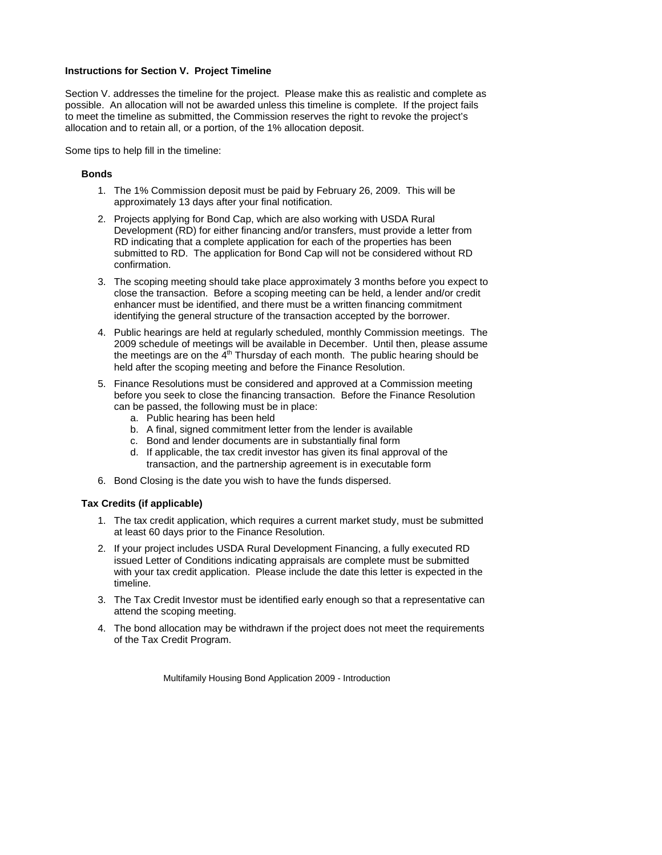#### **Instructions for Section V. Project Timeline**

Section V. addresses the timeline for the project. Please make this as realistic and complete as possible. An allocation will not be awarded unless this timeline is complete. If the project fails to meet the timeline as submitted, the Commission reserves the right to revoke the project's allocation and to retain all, or a portion, of the 1% allocation deposit.

Some tips to help fill in the timeline:

#### **Bonds**

- 1. The 1% Commission deposit must be paid by February 26, 2009. This will be approximately 13 days after your final notification.
- 2. Projects applying for Bond Cap, which are also working with USDA Rural Development (RD) for either financing and/or transfers, must provide a letter from RD indicating that a complete application for each of the properties has been submitted to RD. The application for Bond Cap will not be considered without RD confirmation.
- 3. The scoping meeting should take place approximately 3 months before you expect to close the transaction. Before a scoping meeting can be held, a lender and/or credit enhancer must be identified, and there must be a written financing commitment identifying the general structure of the transaction accepted by the borrower.
- 4. Public hearings are held at regularly scheduled, monthly Commission meetings. The 2009 schedule of meetings will be available in December. Until then, please assume the meetings are on the  $\tilde{4}^{th}$  Thursday of each month. The public hearing should be held after the scoping meeting and before the Finance Resolution.
- 5. Finance Resolutions must be considered and approved at a Commission meeting before you seek to close the financing transaction. Before the Finance Resolution can be passed, the following must be in place:
	- a. Public hearing has been held
	- b. A final, signed commitment letter from the lender is available
	- c. Bond and lender documents are in substantially final form
	- d. If applicable, the tax credit investor has given its final approval of the transaction, and the partnership agreement is in executable form
- 6. Bond Closing is the date you wish to have the funds dispersed.

#### **Tax Credits (if applicable)**

- 1. The tax credit application, which requires a current market study, must be submitted at least 60 days prior to the Finance Resolution.
- 2. If your project includes USDA Rural Development Financing, a fully executed RD issued Letter of Conditions indicating appraisals are complete must be submitted with your tax credit application. Please include the date this letter is expected in the timeline.
- 3. The Tax Credit Investor must be identified early enough so that a representative can attend the scoping meeting.
- 4. The bond allocation may be withdrawn if the project does not meet the requirements of the Tax Credit Program.

Multifamily Housing Bond Application 2009 - Introduction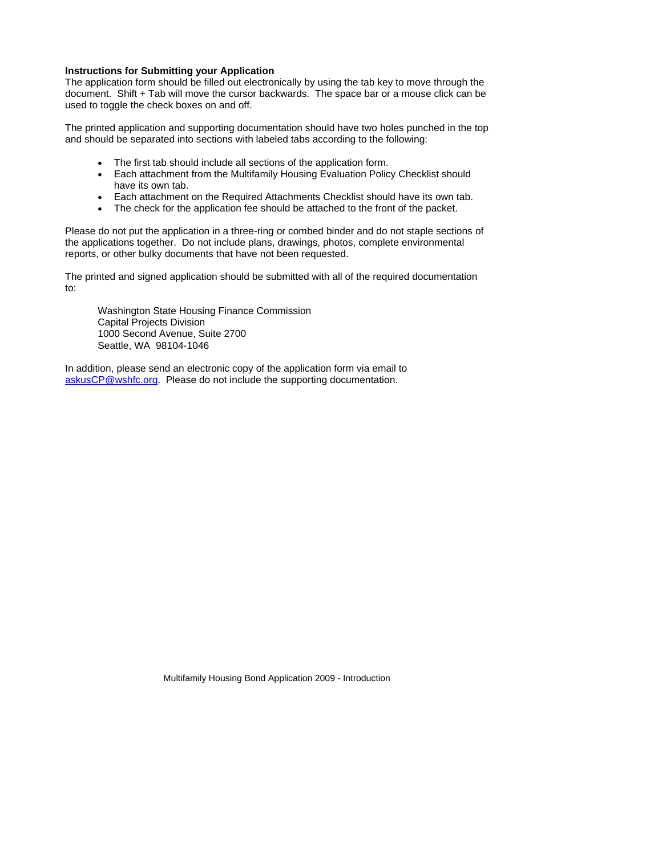#### **Instructions for Submitting your Application**

The application form should be filled out electronically by using the tab key to move through the document. Shift + Tab will move the cursor backwards. The space bar or a mouse click can be used to toggle the check boxes on and off.

The printed application and supporting documentation should have two holes punched in the top and should be separated into sections with labeled tabs according to the following:

- The first tab should include all sections of the application form.
- Each attachment from the Multifamily Housing Evaluation Policy Checklist should have its own tab.
- Each attachment on the Required Attachments Checklist should have its own tab.
- The check for the application fee should be attached to the front of the packet.

Please do not put the application in a three-ring or combed binder and do not staple sections of the applications together. Do not include plans, drawings, photos, complete environmental reports, or other bulky documents that have not been requested.

The printed and signed application should be submitted with all of the required documentation to:

Washington State Housing Finance Commission Capital Projects Division 1000 Second Avenue, Suite 2700 Seattle, WA 98104-1046

In addition, please send an electronic copy of the application form via email to [askusCP@wshfc.org.](mailto:askusCP@wshfc.org) Please do not include the supporting documentation.

Multifamily Housing Bond Application 2009 - Introduction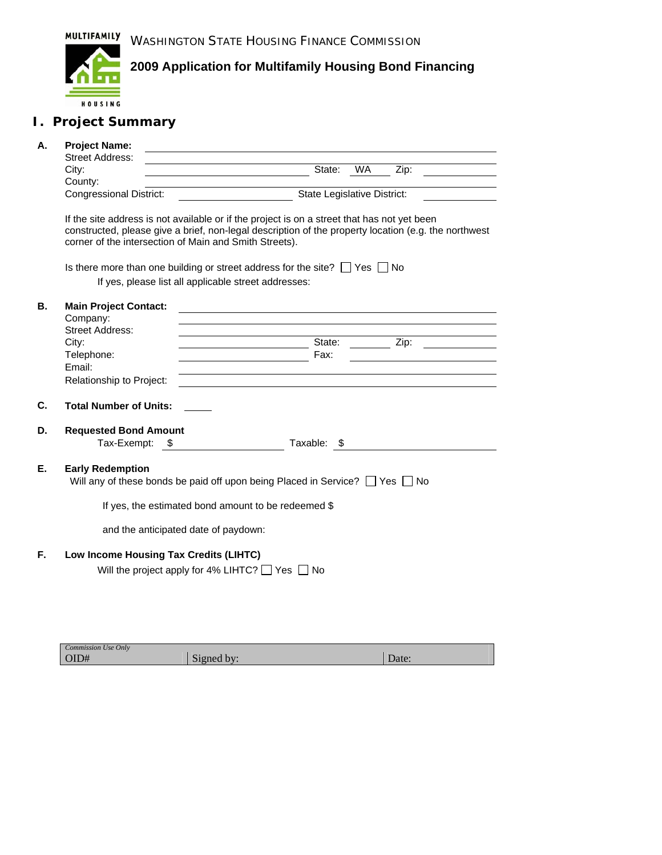

## **I. Project Summary**

| А. | <b>Project Name:</b><br><b>Street Address:</b> |                                                                                                                                                                                                                                                               |
|----|------------------------------------------------|---------------------------------------------------------------------------------------------------------------------------------------------------------------------------------------------------------------------------------------------------------------|
|    | City:                                          | <b>WA</b><br>State:<br>Zip:                                                                                                                                                                                                                                   |
|    | County:<br><b>Congressional District:</b>      | State Legislative District:                                                                                                                                                                                                                                   |
|    |                                                | If the site address is not available or if the project is on a street that has not yet been<br>constructed, please give a brief, non-legal description of the property location (e.g. the northwest<br>corner of the intersection of Main and Smith Streets). |
|    |                                                | Is there more than one building or street address for the site? $\Box$ Yes $\Box$ No                                                                                                                                                                          |
|    |                                                | If yes, please list all applicable street addresses:                                                                                                                                                                                                          |
| В. | <b>Main Project Contact:</b><br>Company:       |                                                                                                                                                                                                                                                               |
|    | <b>Street Address:</b><br>City:                | State: Zip:                                                                                                                                                                                                                                                   |
|    | Telephone:                                     | Fax:                                                                                                                                                                                                                                                          |
|    | Email:                                         |                                                                                                                                                                                                                                                               |
|    | Relationship to Project:                       | <u>a sa barang ang pagbabang nagpagpagpang nagpagpagpang nagpagpagpagpang nagpagpagpagpagpagpagpagpagpagpagpagpag</u>                                                                                                                                         |
| C. | <b>Total Number of Units:</b>                  |                                                                                                                                                                                                                                                               |
| D. | <b>Requested Bond Amount</b><br>Tax-Exempt: \$ | Taxable: \$                                                                                                                                                                                                                                                   |
| Е. | <b>Early Redemption</b>                        | Will any of these bonds be paid off upon being Placed in Service? $\Box$ Yes $\Box$ No                                                                                                                                                                        |
|    |                                                | If yes, the estimated bond amount to be redeemed \$                                                                                                                                                                                                           |
|    |                                                | and the anticipated date of paydown:                                                                                                                                                                                                                          |
| F. |                                                | Low Income Housing Tax Credits (LIHTC)<br>Will the project apply for 4% LIHTC? $\Box$ Yes $\Box$ No                                                                                                                                                           |

| Commission Use Only |                      |       |
|---------------------|----------------------|-------|
| OID#                | $\sim$<br>Signed by: | Date: |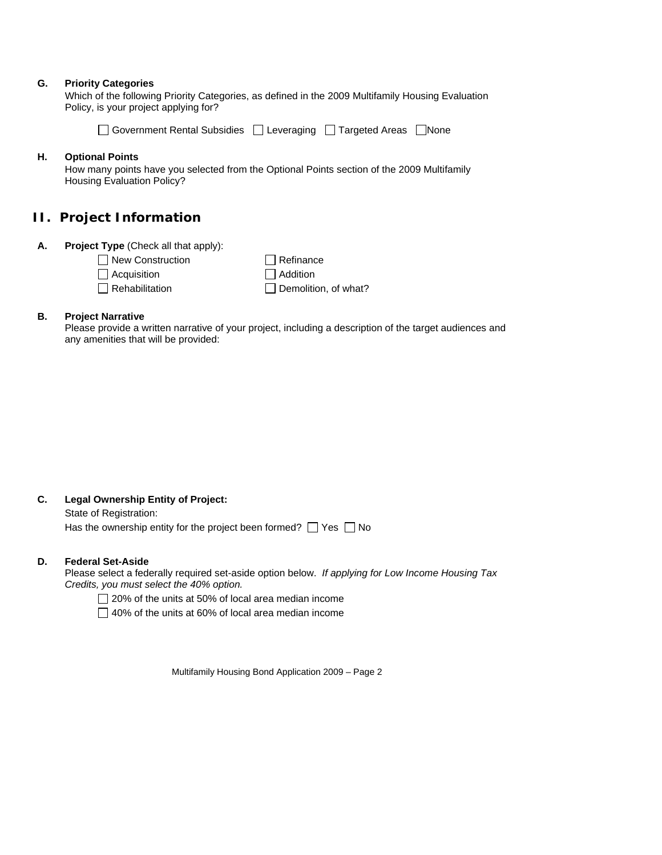#### **G. Priority Categories**

Which of the following Priority Categories, as defined in the 2009 Multifamily Housing Evaluation Policy, is your project applying for?

| □ Government Rental Subsidies □ Leveraging □ Targeted Areas □ None |  |  |  |
|--------------------------------------------------------------------|--|--|--|
|--------------------------------------------------------------------|--|--|--|

#### **H. Optional Points**

How many points have you selected from the Optional Points section of the 2009 Multifamily Housing Evaluation Policy?

### **II. Project Information**

**A. Project Type** (Check all that apply):

New Construction

Acquisition

 $\Box$  Rehabilitation

□ Addition Demolition, of what?

### **B. Project Narrative**

Please provide a written narrative of your project, including a description of the target audiences and any amenities that will be provided:

 $\Box$  Refinance

### **C. Legal Ownership Entity of Project:**

State of Registration: Has the ownership entity for the project been formed?  $\Box$  Yes  $\Box$  No

#### **D. Federal Set-Aside**

Please select a federally required set-aside option below. *If applying for Low Income Housing Tax Credits, you must select the 40% option.* 

□ 20% of the units at 50% of local area median income

 $\Box$  40% of the units at 60% of local area median income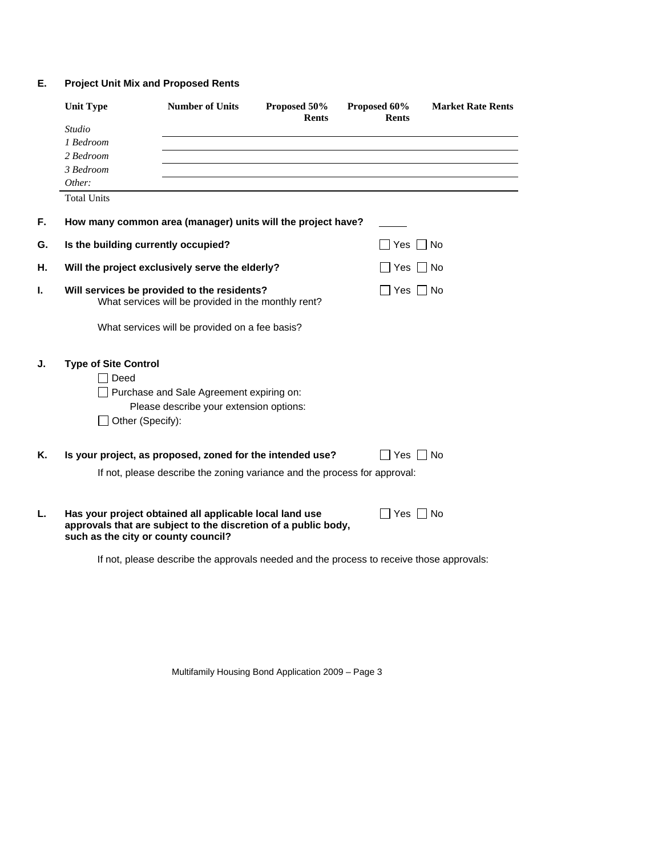### **E. Project Unit Mix and Proposed Rents**

|    | <b>Unit Type</b>            | <b>Number of Units</b>                                                                                                                                           | Proposed 50%<br><b>Rents</b> | Proposed 60%<br><b>Rents</b> | <b>Market Rate Rents</b> |
|----|-----------------------------|------------------------------------------------------------------------------------------------------------------------------------------------------------------|------------------------------|------------------------------|--------------------------|
|    | <b>Studio</b>               |                                                                                                                                                                  |                              |                              |                          |
|    | 1 Bedroom                   |                                                                                                                                                                  |                              |                              |                          |
|    | 2 Bedroom                   |                                                                                                                                                                  |                              |                              |                          |
|    | 3 Bedroom                   |                                                                                                                                                                  |                              |                              |                          |
|    | Other:                      |                                                                                                                                                                  |                              |                              |                          |
|    | <b>Total Units</b>          |                                                                                                                                                                  |                              |                              |                          |
| F. |                             | How many common area (manager) units will the project have?                                                                                                      |                              |                              |                          |
| G. |                             | Is the building currently occupied?                                                                                                                              |                              | Yes     No                   |                          |
| Н. |                             | Will the project exclusively serve the elderly?                                                                                                                  |                              | ∣Yes I                       | – I No                   |
| ı. |                             | Will services be provided to the residents?<br>What services will be provided in the monthly rent?                                                               |                              | $\vert$ Yes $\vert$ No       |                          |
|    |                             | What services will be provided on a fee basis?                                                                                                                   |                              |                              |                          |
| J. | <b>Type of Site Control</b> |                                                                                                                                                                  |                              |                              |                          |
|    | Deed                        |                                                                                                                                                                  |                              |                              |                          |
|    |                             | Purchase and Sale Agreement expiring on:                                                                                                                         |                              |                              |                          |
|    |                             | Please describe your extension options:<br>Other (Specify):                                                                                                      |                              |                              |                          |
| Κ. |                             | Is your project, as proposed, zoned for the intended use?                                                                                                        |                              | Yes     No                   |                          |
|    |                             |                                                                                                                                                                  |                              |                              |                          |
|    |                             | If not, please describe the zoning variance and the process for approval:                                                                                        |                              |                              |                          |
| L. |                             | Has your project obtained all applicable local land use<br>approvals that are subject to the discretion of a public body,<br>such as the city or county council? |                              | $\Box$ Yes $\Box$ No         |                          |
|    |                             | If not, please describe the approvals needed and the process to receive those approvals:                                                                         |                              |                              |                          |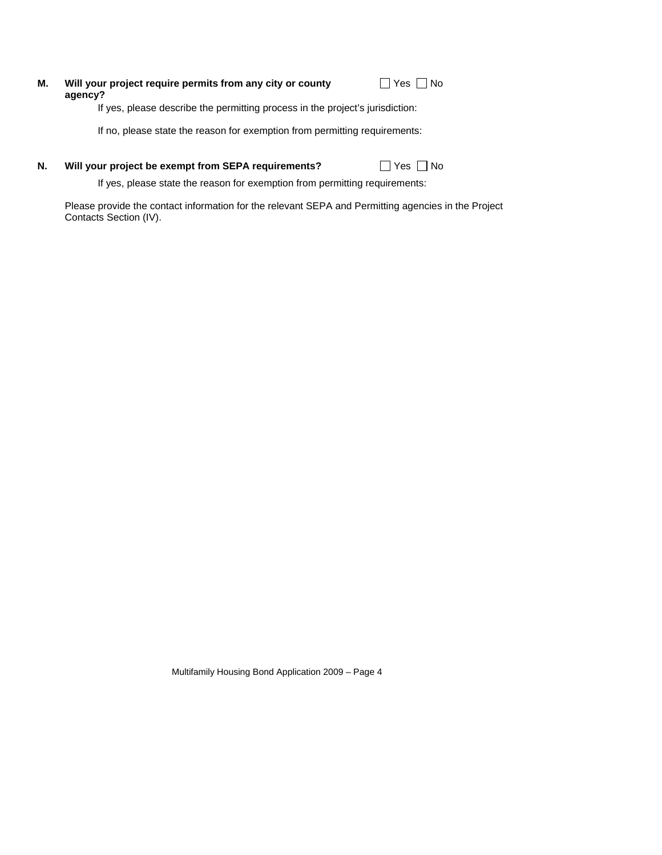#### **Will your project require permits from any city or county agency? M.**

 $\Box$  Yes  $\Box$  No

If yes, please describe the permitting process in the project's jurisdiction:

If no, please state the reason for exemption from permitting requirements:

#### **Will your project be exempt from SEPA requirements?**  $\Box$  Yes  $\Box$  No **N.**

If yes, please state the reason for exemption from permitting requirements:

Please provide the contact information for the relevant SEPA and Permitting agencies in the Project Contacts Section (IV).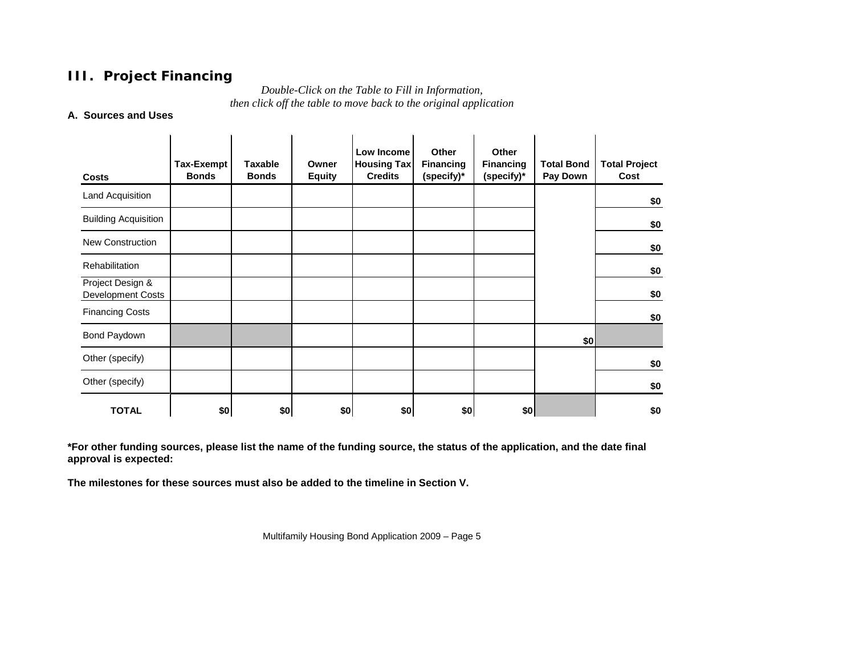### **III. Project Financing**

*Double-Click on the Table to Fill in Information, then click off the table to move back to the original application*

### **A. Sources and Uses**

| <b>Costs</b>                          | <b>Tax-Exempt</b><br><b>Bonds</b> | <b>Taxable</b><br><b>Bonds</b> | Owner<br><b>Equity</b> | Low Income<br><b>Housing Tax</b><br><b>Credits</b> | <b>Other</b><br><b>Financing</b><br>(specify)* | Other<br><b>Financing</b><br>(specify)* | <b>Total Bond</b><br>Pay Down | <b>Total Project</b><br>Cost |
|---------------------------------------|-----------------------------------|--------------------------------|------------------------|----------------------------------------------------|------------------------------------------------|-----------------------------------------|-------------------------------|------------------------------|
| Land Acquisition                      |                                   |                                |                        |                                                    |                                                |                                         |                               | \$0                          |
| <b>Building Acquisition</b>           |                                   |                                |                        |                                                    |                                                |                                         |                               | \$0                          |
| <b>New Construction</b>               |                                   |                                |                        |                                                    |                                                |                                         |                               | \$0                          |
| Rehabilitation                        |                                   |                                |                        |                                                    |                                                |                                         |                               | \$0                          |
| Project Design &<br>Development Costs |                                   |                                |                        |                                                    |                                                |                                         |                               | \$0                          |
| <b>Financing Costs</b>                |                                   |                                |                        |                                                    |                                                |                                         |                               | \$0                          |
| Bond Paydown                          |                                   |                                |                        |                                                    |                                                |                                         | \$0]                          |                              |
| Other (specify)                       |                                   |                                |                        |                                                    |                                                |                                         |                               | \$0                          |
| Other (specify)                       |                                   |                                |                        |                                                    |                                                |                                         |                               | \$0                          |
| <b>TOTAL</b>                          | \$0                               | \$0                            | \$0                    | \$0                                                | \$0                                            | \$0                                     |                               | \$0                          |

 **\*For other funding sources, please list the name of the funding source, the status of the application, and the date final approval is expected:** 

**The milestones for these sources must also be added to the timeline in Section V.**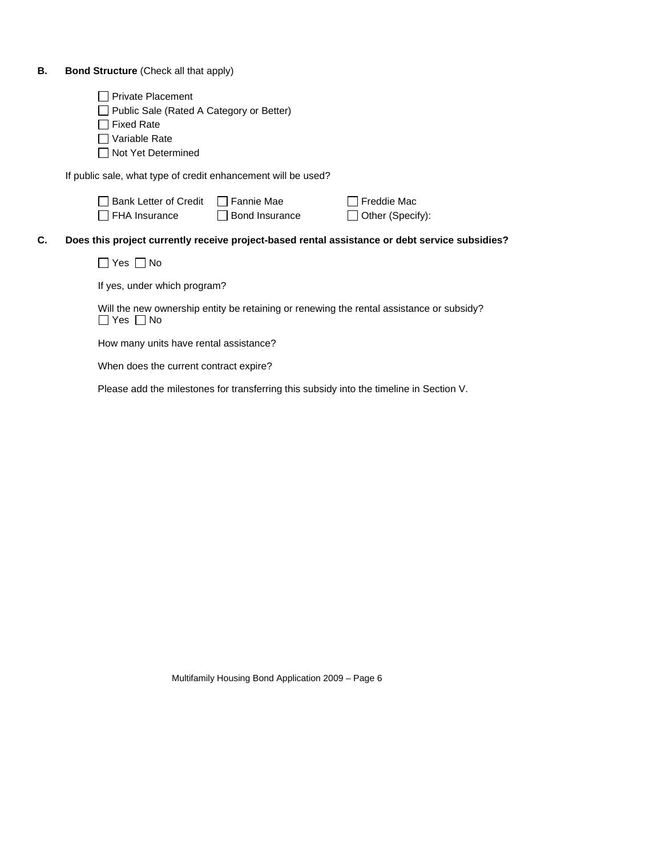### **B.** Bond Structure (Check all that apply)

**C.** 

| <b>Private Placement</b><br>Public Sale (Rated A Category or Better)<br><b>Fixed Rate</b><br>Variable Rate<br>Not Yet Determined |                                                                                          |                                                                                                |  |  |  |
|----------------------------------------------------------------------------------------------------------------------------------|------------------------------------------------------------------------------------------|------------------------------------------------------------------------------------------------|--|--|--|
| If public sale, what type of credit enhancement will be used?                                                                    |                                                                                          |                                                                                                |  |  |  |
| <b>Bank Letter of Credit</b><br>FHA Insurance                                                                                    | Fannie Mae<br>Bond Insurance                                                             | Freddie Mac<br>Other (Specify):                                                                |  |  |  |
|                                                                                                                                  |                                                                                          | Does this project currently receive project-based rental assistance or debt service subsidies? |  |  |  |
| Yes $\Box$ No                                                                                                                    |                                                                                          |                                                                                                |  |  |  |
| If yes, under which program?                                                                                                     |                                                                                          |                                                                                                |  |  |  |
| $ Yes $ $  No$                                                                                                                   | Will the new ownership entity be retaining or renewing the rental assistance or subsidy? |                                                                                                |  |  |  |
|                                                                                                                                  | How many units have rental assistance?                                                   |                                                                                                |  |  |  |
| When does the current contract expire?                                                                                           |                                                                                          |                                                                                                |  |  |  |
|                                                                                                                                  | Please add the milestones for transferring this subsidy into the timeline in Section V.  |                                                                                                |  |  |  |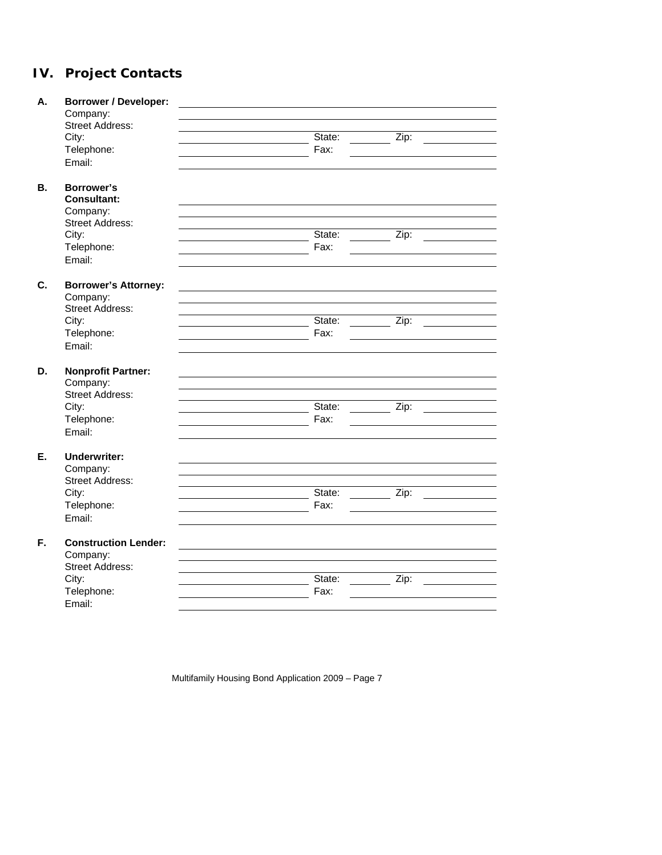# **IV. Project Contacts**

| А.        | <b>Borrower / Developer:</b><br>Company:<br><b>Street Address:</b> |        |      |
|-----------|--------------------------------------------------------------------|--------|------|
|           | City:                                                              | State: | Zip: |
|           | Telephone:                                                         | Fax:   |      |
|           | Email:                                                             |        |      |
| <b>B.</b> | Borrower's                                                         |        |      |
|           | <b>Consultant:</b>                                                 |        |      |
|           | Company:                                                           |        |      |
|           | <b>Street Address:</b>                                             |        |      |
|           | City:                                                              | State: | Zip: |
|           | Telephone:                                                         | Fax:   |      |
|           | Email:                                                             |        |      |
| C.        | <b>Borrower's Attorney:</b>                                        |        |      |
|           | Company:                                                           |        |      |
|           | <b>Street Address:</b>                                             |        |      |
|           | City:                                                              | State: | Zip: |
|           | Telephone:                                                         | Fax:   |      |
|           | Email:                                                             |        |      |
| D.        | <b>Nonprofit Partner:</b>                                          |        |      |
|           | Company:                                                           |        |      |
|           | <b>Street Address:</b>                                             |        |      |
|           | City:                                                              | State: | Zip: |
|           | Telephone:                                                         | Fax:   |      |
|           | Email:                                                             |        |      |
| Ε.        | <b>Underwriter:</b>                                                |        |      |
|           | Company:                                                           |        |      |
|           | <b>Street Address:</b>                                             |        |      |
|           | City:                                                              | State: | Zip: |
|           | Telephone:                                                         | Fax:   |      |
|           | Email:                                                             |        |      |
| F.        | <b>Construction Lender:</b>                                        |        |      |
|           | Company:                                                           |        |      |
|           | <b>Street Address:</b>                                             |        |      |
|           | City:                                                              | State: | Zip: |
|           | Telephone:                                                         | Fax:   |      |
|           |                                                                    |        |      |
|           | Email:                                                             |        |      |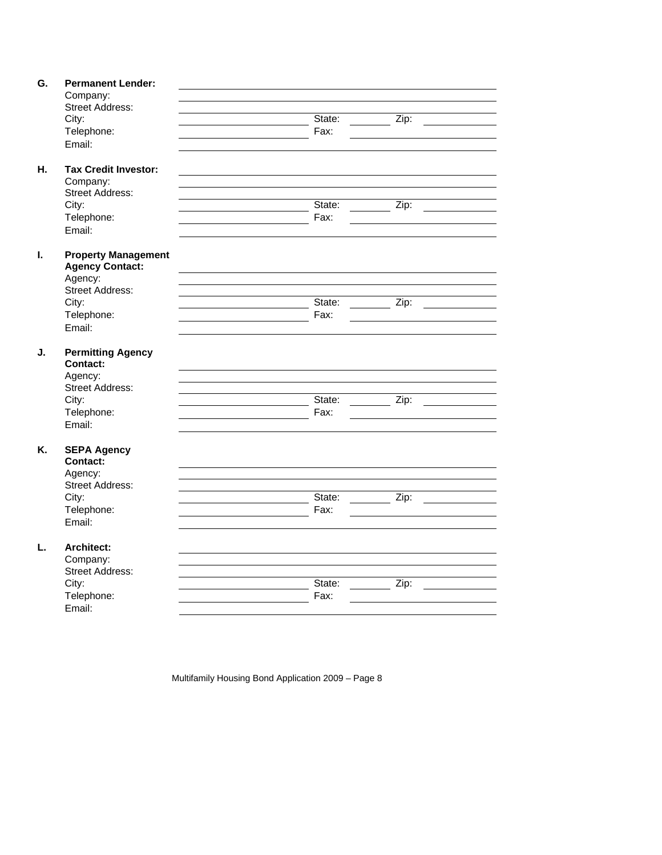| G. | <b>Permanent Lender:</b>    |        |                    |  |
|----|-----------------------------|--------|--------------------|--|
|    | Company:                    |        |                    |  |
|    | <b>Street Address:</b>      |        |                    |  |
|    | City:                       | State: | Zip:               |  |
|    | Telephone:                  | Fax:   |                    |  |
|    | Email:                      |        |                    |  |
|    |                             |        |                    |  |
| Н. | <b>Tax Credit Investor:</b> |        |                    |  |
|    | Company:                    |        |                    |  |
|    | <b>Street Address:</b>      |        |                    |  |
|    | City:                       | State: | Zip:               |  |
|    | Telephone:                  | Fax:   |                    |  |
|    | Email:                      |        |                    |  |
|    |                             |        |                    |  |
| I. | <b>Property Management</b>  |        |                    |  |
|    | <b>Agency Contact:</b>      |        |                    |  |
|    | Agency:                     |        |                    |  |
|    | <b>Street Address:</b>      |        |                    |  |
|    | City:                       | State: | Zip:               |  |
|    | Telephone:                  | Fax:   |                    |  |
|    | Email:                      |        |                    |  |
|    |                             |        |                    |  |
| J. | <b>Permitting Agency</b>    |        |                    |  |
|    | <b>Contact:</b>             |        |                    |  |
|    | Agency:                     |        |                    |  |
|    | <b>Street Address:</b>      |        |                    |  |
|    | City:                       | State: | Zip:               |  |
|    | Telephone:                  | Fax:   |                    |  |
|    | Email:                      |        |                    |  |
|    |                             |        |                    |  |
| Κ. | <b>SEPA Agency</b>          |        |                    |  |
|    | <b>Contact:</b>             |        |                    |  |
|    | Agency:                     |        |                    |  |
|    | <b>Street Address:</b>      |        |                    |  |
|    | City:                       | State: | Zip:               |  |
|    | Telephone:                  | Fax:   |                    |  |
|    | Email:                      |        |                    |  |
|    |                             |        |                    |  |
| L. | <b>Architect:</b>           |        |                    |  |
|    | Company:                    |        |                    |  |
|    | <b>Street Address:</b>      |        |                    |  |
|    | City:                       | State: | $\overline{Zip: }$ |  |
|    |                             |        |                    |  |

Multifamily Housing Bond Application 2009 – Page 8

Telephone: The Contract of Telephone:

Email: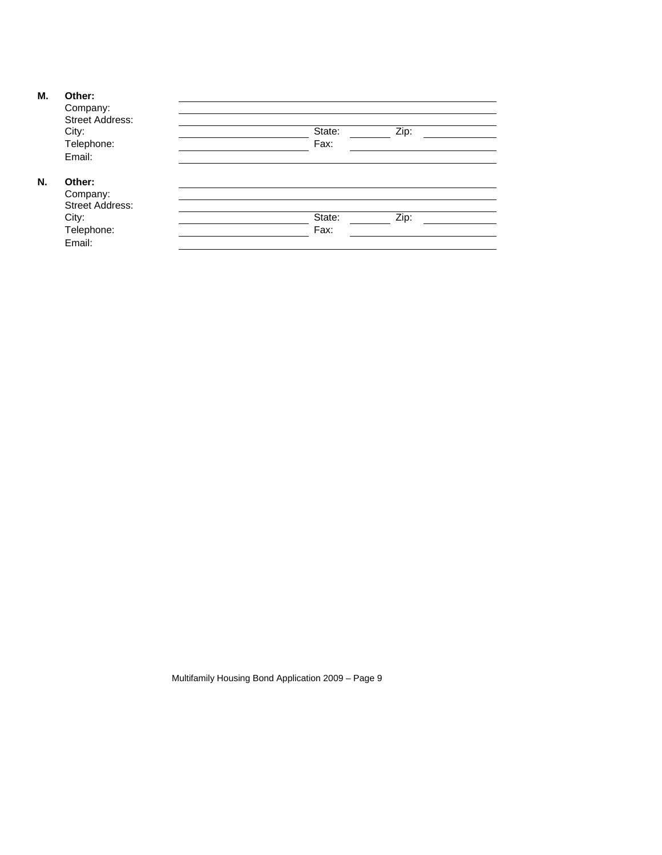### **M. Other:**

**N. Other:** 

| UUU.                   |        |      |  |
|------------------------|--------|------|--|
| Company:               |        |      |  |
| Street Address:        |        |      |  |
| City:                  | State: | Zip: |  |
| Telephone:             | Fax:   |      |  |
| Email:                 |        |      |  |
| Other:                 |        |      |  |
| Company:               |        |      |  |
| <b>Street Address:</b> |        |      |  |
| City:                  | State: | Zip: |  |
| Telephone:             | Fax:   |      |  |
| Email:                 |        |      |  |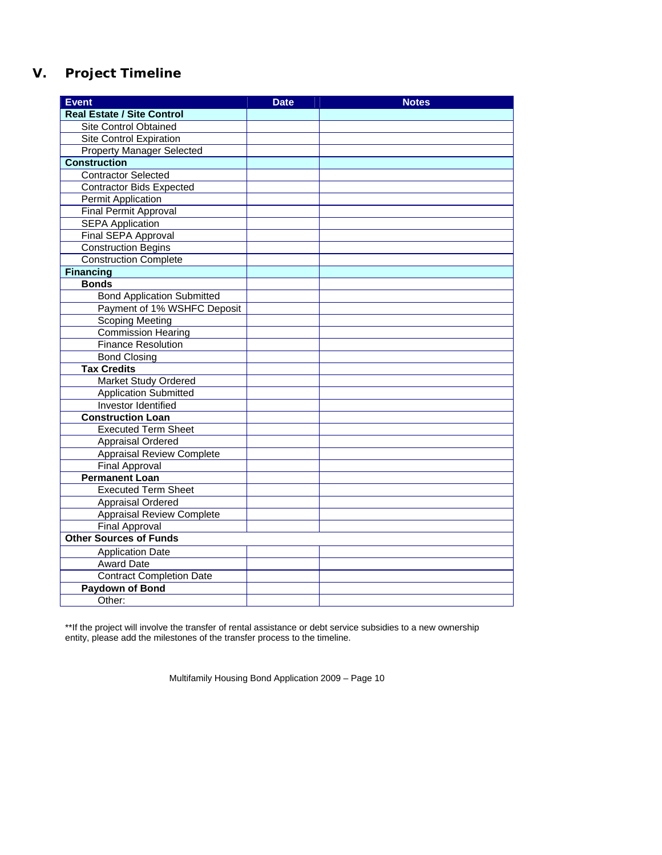## **V. Project Timeline**

| Event                             | <b>Date</b> | <b>Notes</b> |
|-----------------------------------|-------------|--------------|
| <b>Real Estate / Site Control</b> |             |              |
| <b>Site Control Obtained</b>      |             |              |
| <b>Site Control Expiration</b>    |             |              |
| <b>Property Manager Selected</b>  |             |              |
| <b>Construction</b>               |             |              |
| <b>Contractor Selected</b>        |             |              |
| <b>Contractor Bids Expected</b>   |             |              |
| Permit Application                |             |              |
| Final Permit Approval             |             |              |
| <b>SEPA Application</b>           |             |              |
| Final SEPA Approval               |             |              |
| <b>Construction Begins</b>        |             |              |
| <b>Construction Complete</b>      |             |              |
| <b>Financing</b>                  |             |              |
| <b>Bonds</b>                      |             |              |
| <b>Bond Application Submitted</b> |             |              |
| Payment of 1% WSHFC Deposit       |             |              |
| <b>Scoping Meeting</b>            |             |              |
| <b>Commission Hearing</b>         |             |              |
| <b>Finance Resolution</b>         |             |              |
| <b>Bond Closing</b>               |             |              |
| <b>Tax Credits</b>                |             |              |
| <b>Market Study Ordered</b>       |             |              |
| <b>Application Submitted</b>      |             |              |
| Investor Identified               |             |              |
| <b>Construction Loan</b>          |             |              |
| <b>Executed Term Sheet</b>        |             |              |
| <b>Appraisal Ordered</b>          |             |              |
| <b>Appraisal Review Complete</b>  |             |              |
| <b>Final Approval</b>             |             |              |
| <b>Permanent Loan</b>             |             |              |
| <b>Executed Term Sheet</b>        |             |              |
| <b>Appraisal Ordered</b>          |             |              |
| <b>Appraisal Review Complete</b>  |             |              |
| <b>Final Approval</b>             |             |              |
| <b>Other Sources of Funds</b>     |             |              |
| <b>Application Date</b>           |             |              |
| <b>Award Date</b>                 |             |              |
| <b>Contract Completion Date</b>   |             |              |
| <b>Paydown of Bond</b>            |             |              |
| Other:                            |             |              |

\*\*If the project will involve the transfer of rental assistance or debt service subsidies to a new ownership entity, please add the milestones of the transfer process to the timeline.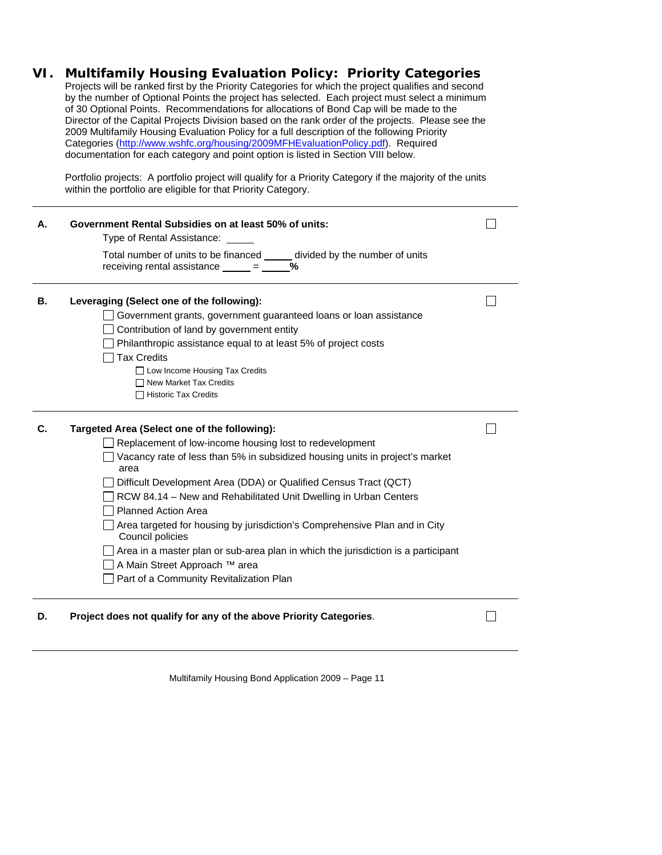### **VI. Multifamily Housing Evaluation Policy: Priority Categories**

Projects will be ranked first by the Priority Categories for which the project qualifies and second by the number of Optional Points the project has selected. Each project must select a minimum of 30 Optional Points. Recommendations for allocations of Bond Cap will be made to the Director of the Capital Projects Division based on the rank order of the projects. Please see the 2009 Multifamily Housing Evaluation Policy for a full description of the following Priority Categories (<http://www.wshfc.org/housing/2009MFHEvaluationPolicy.pdf>). Required documentation for each category and point option is listed in Section VIII below.

Portfolio projects: A portfolio project will qualify for a Priority Category if the majority of the units within the portfolio are eligible for that Priority Category.

| Α. | Government Rental Subsidies on at least 50% of units:<br>Type of Rental Assistance: _                                                                                                                                                                                                                                                                                                                                                                                                                                                                                                                                                    |  |
|----|------------------------------------------------------------------------------------------------------------------------------------------------------------------------------------------------------------------------------------------------------------------------------------------------------------------------------------------------------------------------------------------------------------------------------------------------------------------------------------------------------------------------------------------------------------------------------------------------------------------------------------------|--|
|    | Total number of units to be financed divided by the number of units<br>receiving rental assistance $\frac{\ }{\ }$ = $\frac{\ }{\ }$<br>$\frac{0}{0}$                                                                                                                                                                                                                                                                                                                                                                                                                                                                                    |  |
| В. | Leveraging (Select one of the following):<br>Government grants, government guaranteed loans or loan assistance<br>Contribution of land by government entity<br>Philanthropic assistance equal to at least 5% of project costs<br><b>Tax Credits</b>                                                                                                                                                                                                                                                                                                                                                                                      |  |
|    | □ Low Income Housing Tax Credits<br>□ New Market Tax Credits<br>□ Historic Tax Credits                                                                                                                                                                                                                                                                                                                                                                                                                                                                                                                                                   |  |
| C. | Targeted Area (Select one of the following):<br>Replacement of low-income housing lost to redevelopment<br>Vacancy rate of less than 5% in subsidized housing units in project's market<br>area<br>Difficult Development Area (DDA) or Qualified Census Tract (QCT)<br>RCW 84.14 - New and Rehabilitated Unit Dwelling in Urban Centers<br><b>Planned Action Area</b><br>Area targeted for housing by jurisdiction's Comprehensive Plan and in City<br>Council policies<br>Area in a master plan or sub-area plan in which the jurisdiction is a participant<br>A Main Street Approach ™ area<br>Part of a Community Revitalization Plan |  |
| D. | Project does not qualify for any of the above Priority Categories.                                                                                                                                                                                                                                                                                                                                                                                                                                                                                                                                                                       |  |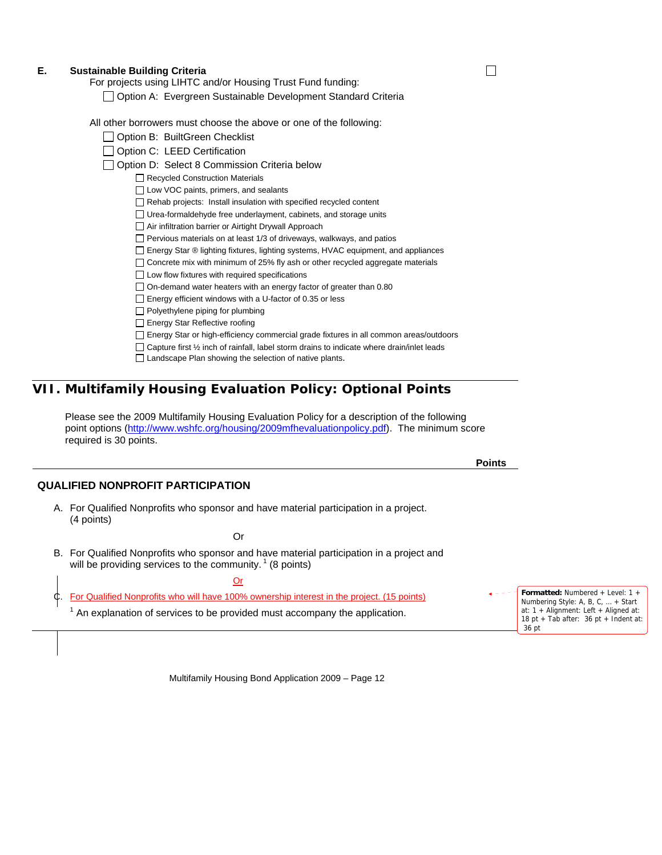#### **E. Sustainable Building Criteria**

For projects using LIHTC and/or Housing Trust Fund funding:

|  |  | □ Option A: Evergreen Sustainable Development Standard Criteria |  |
|--|--|-----------------------------------------------------------------|--|
|  |  |                                                                 |  |

All other borrowers must choose the above or one of the following:

- Option B: BuiltGreen Checklist
- Option C: LEED Certification
- □ Option D: Select 8 Commission Criteria below
	- Recycled Construction Materials
		- □ Low VOC paints, primers, and sealants
		- Rehab projects: Install insulation with specified recycled content
		- □ Urea-formaldehyde free underlayment, cabinets, and storage units
		- Air infiltration barrier or Airtight Drywall Approach
		- $\Box$  Pervious materials on at least 1/3 of driveways, walkways, and patios
		- □ Energy Star ® lighting fixtures, lighting systems, HVAC equipment, and appliances
		- $\Box$  Concrete mix with minimum of 25% fly ash or other recycled aggregate materials
		- $\Box$  Low flow fixtures with required specifications
		- $\Box$  On-demand water heaters with an energy factor of greater than 0.80
		- $\Box$  Energy efficient windows with a U-factor of 0.35 or less
		- $\Box$  Polyethylene piping for plumbing
		- Energy Star Reflective roofing
		- Energy Star or high-efficiency commercial grade fixtures in all common areas/outdoors
		- $\Box$  Capture first  $\frac{1}{2}$  inch of rainfall, label storm drains to indicate where drain/inlet leads
		- □ Landscape Plan showing the selection of native plants.

### **VII. Multifamily Housing Evaluation Policy: Optional Points**

Please see the 2009 Multifamily Housing Evaluation Policy for a description of the following point options [\(http://www.wshfc.org/housing/2009mfhevaluationpolicy.pdf](http://www.wshfc.org/housing/2009mfhevaluationpolicy.pdf)). The minimum score required is 30 points.

### **QUALIFIED NONPROFIT PARTICIPATION**

A. For Qualified Nonprofits who sponsor and have material participation in a project. (4 points)

Or

B. For Qualified Nonprofits who sponsor and have material participation in a project and will be providing services to the community.  $1$  (8 points)

| <br>I |  |
|-------|--|
|       |  |

| C. For Qualified Nonprofits who will have 100% ownership interest in the project. (15 points) | $\leftarrow  \leftarrow$ <b>Formatted:</b> Numbered + Level: 1 +<br>Numbering Style: A, B, C, $\dots$ + Start |
|-----------------------------------------------------------------------------------------------|---------------------------------------------------------------------------------------------------------------|
| An explanation of services to be provided must accompany the application.                     | at: $1 +$ Alignment: Left + Aligned at:<br>18 pt + Tab after: $36$ pt + Indent at:<br>36 pt                   |

Multifamily Housing Bond Application 2009 – Page 12

**Points** 

П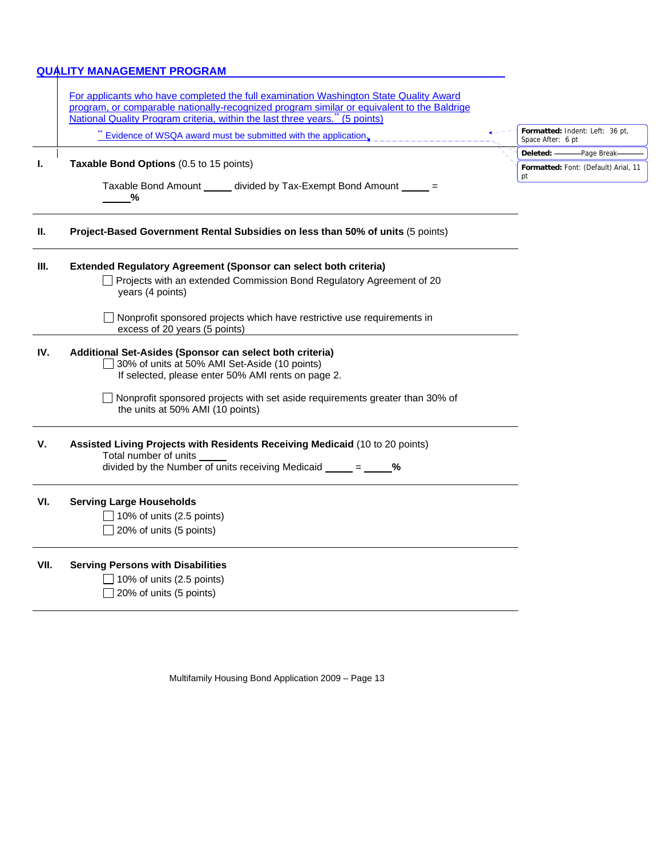### **QUALITY MANAGEMENT PROGRAM**

|      | For applicants who have completed the full examination Washington State Quality Award<br>program, or comparable nationally-recognized program similar or equivalent to the Baldrige |                                                      |
|------|-------------------------------------------------------------------------------------------------------------------------------------------------------------------------------------|------------------------------------------------------|
|      | National Quality Program criteria, within the last three years." (5 points)                                                                                                         |                                                      |
|      | Evidence of WSQA award must be submitted with the application.                                                                                                                      | Formatted: Indent: Left: 36 pt,<br>Space After: 6 pt |
|      |                                                                                                                                                                                     | Deleted: -<br>-Page Break-                           |
| L.   | Taxable Bond Options (0.5 to 15 points)                                                                                                                                             | Formatted: Font: (Default) Arial, 11<br>pt           |
|      | Taxable Bond Amount ______ divided by Tax-Exempt Bond Amount _____ =<br>%                                                                                                           |                                                      |
| H.   | Project-Based Government Rental Subsidies on less than 50% of units (5 points)                                                                                                      |                                                      |
| III. | Extended Regulatory Agreement (Sponsor can select both criteria)                                                                                                                    |                                                      |
|      | □ Projects with an extended Commission Bond Regulatory Agreement of 20<br>years (4 points)                                                                                          |                                                      |
|      | Nonprofit sponsored projects which have restrictive use requirements in<br>excess of 20 years (5 points)                                                                            |                                                      |
| IV.  | Additional Set-Asides (Sponsor can select both criteria)<br>30% of units at 50% AMI Set-Aside (10 points)<br>If selected, please enter 50% AMI rents on page 2.                     |                                                      |
|      | Nonprofit sponsored projects with set aside requirements greater than 30% of<br>the units at 50% AMI (10 points)                                                                    |                                                      |
| V.   | Assisted Living Projects with Residents Receiving Medicaid (10 to 20 points)<br>Total number of units<br>divided by the Number of units receiving Medicaid $\frac{\ }{\ }$ = %      |                                                      |
| VI.  | <b>Serving Large Households</b><br>$\Box$ 10% of units (2.5 points)                                                                                                                 |                                                      |
|      | 20% of units (5 points)                                                                                                                                                             |                                                      |
| VII. | <b>Serving Persons with Disabilities</b>                                                                                                                                            |                                                      |
|      | 10% of units (2.5 points)                                                                                                                                                           |                                                      |
|      | 20% of units (5 points)                                                                                                                                                             |                                                      |
|      |                                                                                                                                                                                     |                                                      |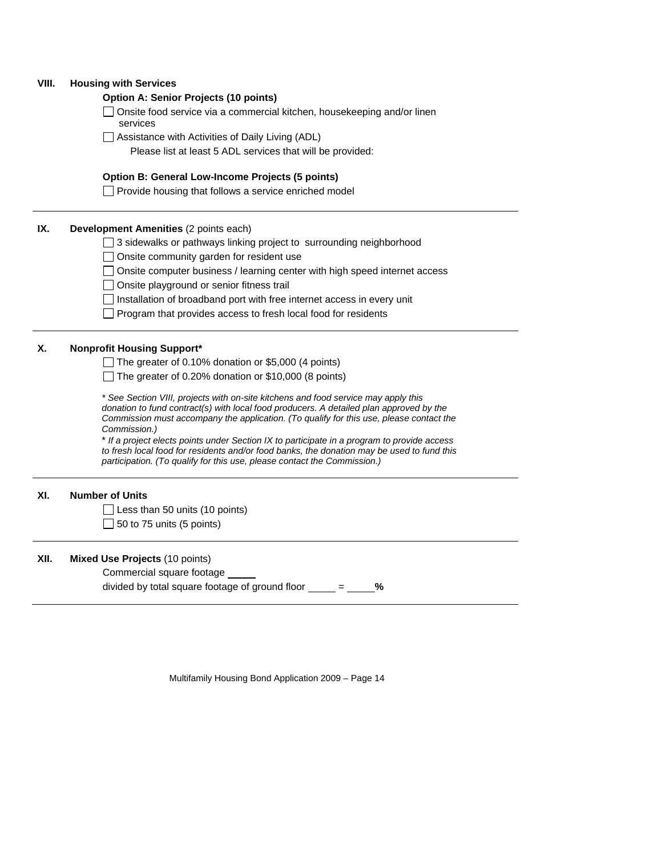#### **VIII. Housing with Services**

#### **Option A: Senior Projects (10 points)**

 $\Box$  Onsite food service via a commercial kitchen, housekeeping and/or linen services

□ Assistance with Activities of Daily Living (ADL)

Please list at least 5 ADL services that will be provided:

### **Option B: General Low-Income Projects (5 points)**

 $\Box$  Provide housing that follows a service enriched model

#### **IX.** Development Amenities (2 points each)

□ 3 sidewalks or pathways linking project to surrounding neighborhood

Onsite community garden for resident use

□ Onsite computer business / learning center with high speed internet access

Onsite playground or senior fitness trail

 $\Box$  Installation of broadband port with free internet access in every unit

 $\Box$  Program that provides access to fresh local food for residents

#### **X. Nonprofit Housing Support\***

The greater of 0.10% donation or \$5,000 (4 points)

The greater of 0.20% donation or  $$10,000$  (8 points)

*\* See Section VIII, projects with on-site kitchens and food service may apply this donation to fund contract(s) with local food producers. A detailed plan approved by the Commission must accompany the application. (To qualify for this use, please contact the Commission.)* 

\* *If a project elects points under Section IX to participate in a program to provide access to fresh local food for residents and/or food banks, the donation may be used to fund this participation. (To qualify for this use, please contact the Commission.)* 

### **XI. Number of Units**

 $\Box$  Less than 50 units (10 points)  $\Box$  50 to 75 units (5 points)

#### **XII. Mixed Use Projects** (10 points)

Commercial square footage divided by total square footage of ground floor  $\frac{\ }{2}$  =  $\frac{\ }{2}$ %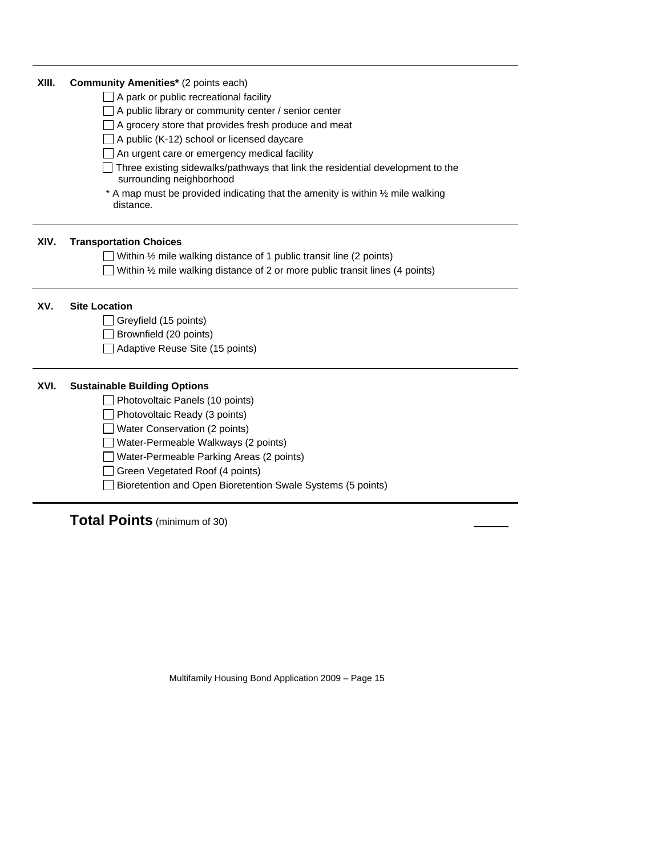| XIII. | <b>Community Amenities*</b> (2 points each)                                                                |
|-------|------------------------------------------------------------------------------------------------------------|
|       | A park or public recreational facility                                                                     |
|       | A public library or community center / senior center                                                       |
|       | A grocery store that provides fresh produce and meat                                                       |
|       | A public (K-12) school or licensed daycare                                                                 |
|       | An urgent care or emergency medical facility                                                               |
|       | Three existing sidewalks/pathways that link the residential development to the<br>surrounding neighborhood |
|       | * A map must be provided indicating that the amenity is within 1/2 mile walking<br>distance.               |
| XIV.  | <b>Transportation Choices</b>                                                                              |
|       | Within $\frac{1}{2}$ mile walking distance of 1 public transit line (2 points)                             |
|       | Within $\frac{1}{2}$ mile walking distance of 2 or more public transit lines (4 points)                    |
|       |                                                                                                            |
| XV.   | <b>Site Location</b>                                                                                       |
|       | Greyfield (15 points)                                                                                      |
|       | Brownfield (20 points)                                                                                     |
|       | Adaptive Reuse Site (15 points)                                                                            |
| XVI.  | <b>Sustainable Building Options</b>                                                                        |
|       | Photovoltaic Panels (10 points)                                                                            |
|       | Photovoltaic Ready (3 points)                                                                              |
|       | Water Conservation (2 points)                                                                              |
|       | Water-Permeable Walkways (2 points)                                                                        |
|       | Water-Permeable Parking Areas (2 points)                                                                   |
|       | Green Vegetated Roof (4 points)                                                                            |

# **Total Points** (minimum of 30)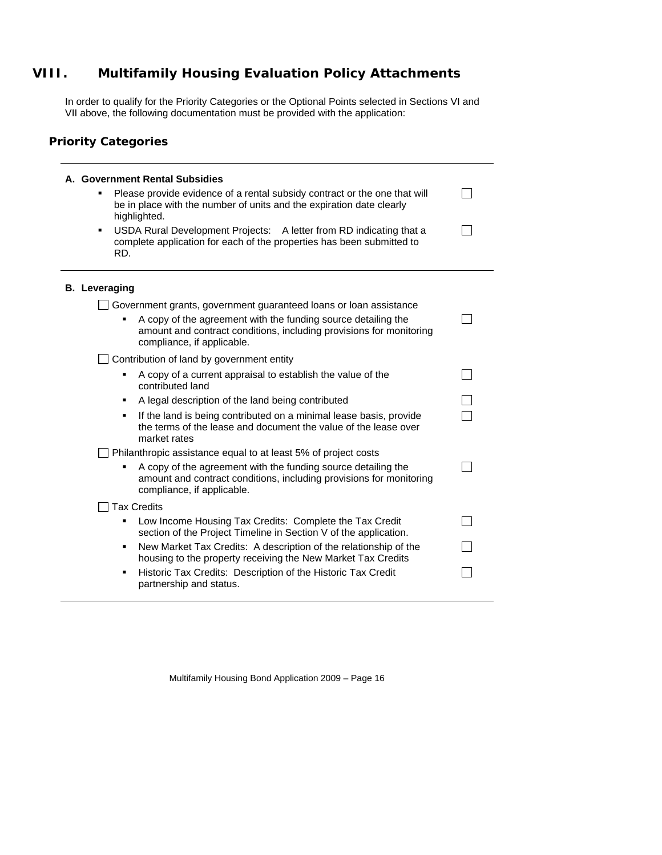## **VIII. Multifamily Housing Evaluation Policy Attachments**

In order to qualify for the Priority Categories or the Optional Points selected in Sections VI and VII above, the following documentation must be provided with the application:

### **Priority Categories**

| A. Government Rental Subsidies<br>Please provide evidence of a rental subsidy contract or the one that will<br>be in place with the number of units and the expiration date clearly<br>highlighted.<br>USDA Rural Development Projects: A letter from RD indicating that a<br>٠<br>complete application for each of the properties has been submitted to<br>RD. |  |
|-----------------------------------------------------------------------------------------------------------------------------------------------------------------------------------------------------------------------------------------------------------------------------------------------------------------------------------------------------------------|--|
| <b>B.</b> Leveraging                                                                                                                                                                                                                                                                                                                                            |  |
| Government grants, government guaranteed loans or loan assistance<br>A copy of the agreement with the funding source detailing the<br>amount and contract conditions, including provisions for monitoring<br>compliance, if applicable.                                                                                                                         |  |
| Contribution of land by government entity                                                                                                                                                                                                                                                                                                                       |  |
| A copy of a current appraisal to establish the value of the<br>contributed land                                                                                                                                                                                                                                                                                 |  |
| A legal description of the land being contributed<br>٠                                                                                                                                                                                                                                                                                                          |  |
| If the land is being contributed on a minimal lease basis, provide<br>٠<br>the terms of the lease and document the value of the lease over<br>market rates                                                                                                                                                                                                      |  |
| Philanthropic assistance equal to at least 5% of project costs                                                                                                                                                                                                                                                                                                  |  |
| A copy of the agreement with the funding source detailing the<br>amount and contract conditions, including provisions for monitoring<br>compliance, if applicable.                                                                                                                                                                                              |  |
| <b>Tax Credits</b>                                                                                                                                                                                                                                                                                                                                              |  |
| Low Income Housing Tax Credits: Complete the Tax Credit<br>section of the Project Timeline in Section V of the application.                                                                                                                                                                                                                                     |  |
| New Market Tax Credits: A description of the relationship of the<br>٠<br>housing to the property receiving the New Market Tax Credits                                                                                                                                                                                                                           |  |
| Historic Tax Credits: Description of the Historic Tax Credit<br>٠<br>partnership and status.                                                                                                                                                                                                                                                                    |  |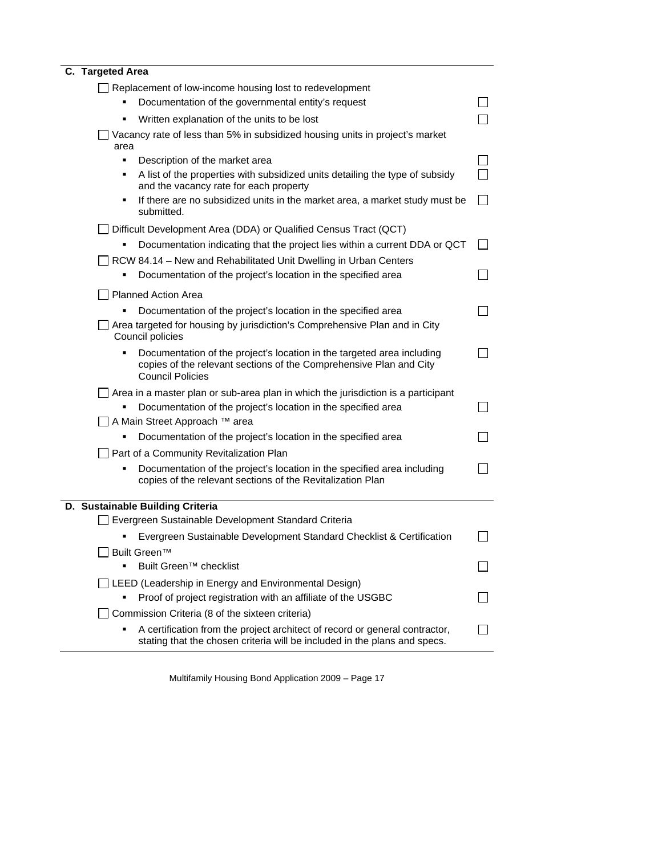### **C. Targeted Area**

| Replacement of low-income housing lost to redevelopment<br>Documentation of the governmental entity's request<br>Written explanation of the units to be lost<br>Vacancy rate of less than 5% in subsidized housing units in project's market<br>area |  |
|------------------------------------------------------------------------------------------------------------------------------------------------------------------------------------------------------------------------------------------------------|--|
| Description of the market area<br>٠<br>A list of the properties with subsidized units detailing the type of subsidy<br>٠<br>and the vacancy rate for each property                                                                                   |  |
| If there are no subsidized units in the market area, a market study must be<br>٠<br>submitted.                                                                                                                                                       |  |
| Difficult Development Area (DDA) or Qualified Census Tract (QCT)                                                                                                                                                                                     |  |
| Documentation indicating that the project lies within a current DDA or QCT                                                                                                                                                                           |  |
| RCW 84.14 – New and Rehabilitated Unit Dwelling in Urban Centers                                                                                                                                                                                     |  |
| Documentation of the project's location in the specified area                                                                                                                                                                                        |  |
| <b>Planned Action Area</b>                                                                                                                                                                                                                           |  |
| Documentation of the project's location in the specified area                                                                                                                                                                                        |  |
| Area targeted for housing by jurisdiction's Comprehensive Plan and in City<br>Council policies                                                                                                                                                       |  |
| Documentation of the project's location in the targeted area including<br>copies of the relevant sections of the Comprehensive Plan and City<br><b>Council Policies</b>                                                                              |  |
| Area in a master plan or sub-area plan in which the jurisdiction is a participant                                                                                                                                                                    |  |
| Documentation of the project's location in the specified area                                                                                                                                                                                        |  |
| A Main Street Approach ™ area                                                                                                                                                                                                                        |  |
| Documentation of the project's location in the specified area                                                                                                                                                                                        |  |
| Part of a Community Revitalization Plan                                                                                                                                                                                                              |  |
| Documentation of the project's location in the specified area including<br>copies of the relevant sections of the Revitalization Plan                                                                                                                |  |
| D. Sustainable Building Criteria                                                                                                                                                                                                                     |  |
| Evergreen Sustainable Development Standard Criteria                                                                                                                                                                                                  |  |
| Evergreen Sustainable Development Standard Checklist & Certification                                                                                                                                                                                 |  |
| Built Green™                                                                                                                                                                                                                                         |  |
| Built Green™ checklist                                                                                                                                                                                                                               |  |
| LEED (Leadership in Energy and Environmental Design)                                                                                                                                                                                                 |  |
| Proof of project registration with an affiliate of the USGBC                                                                                                                                                                                         |  |
| Commission Criteria (8 of the sixteen criteria)                                                                                                                                                                                                      |  |
| A certification from the project architect of record or general contractor,<br>stating that the chosen criteria will be included in the plans and specs.                                                                                             |  |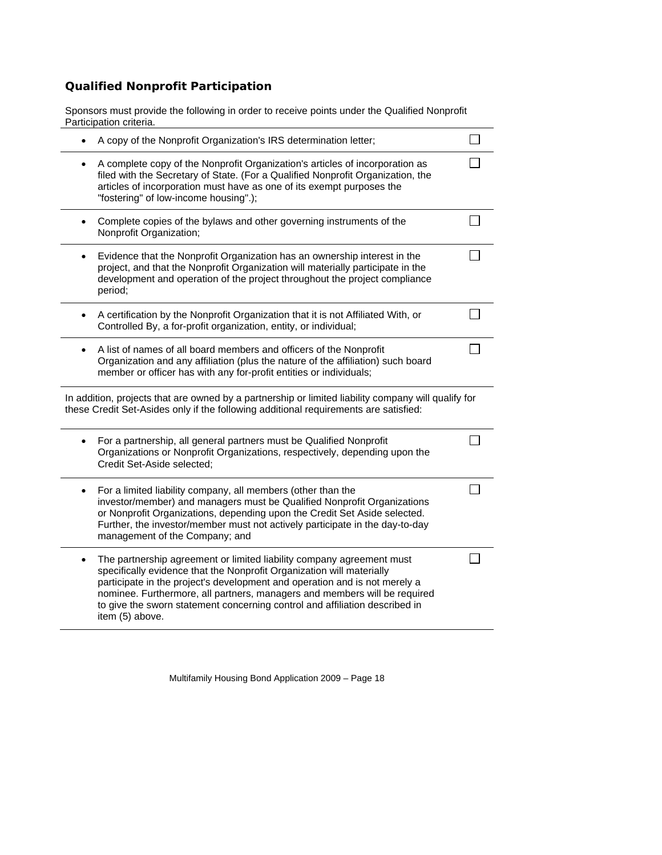## **Qualified Nonprofit Participation**

Sponsors must provide the following in order to receive points under the Qualified Nonprofit Participation criteria.

|           | A copy of the Nonprofit Organization's IRS determination letter;                                                                                                                                                                                                                                                                                                                                            |  |
|-----------|-------------------------------------------------------------------------------------------------------------------------------------------------------------------------------------------------------------------------------------------------------------------------------------------------------------------------------------------------------------------------------------------------------------|--|
| ٠         | A complete copy of the Nonprofit Organization's articles of incorporation as<br>filed with the Secretary of State. (For a Qualified Nonprofit Organization, the<br>articles of incorporation must have as one of its exempt purposes the<br>"fostering" of low-income housing".);                                                                                                                           |  |
| $\bullet$ | Complete copies of the bylaws and other governing instruments of the<br>Nonprofit Organization;                                                                                                                                                                                                                                                                                                             |  |
| ٠         | Evidence that the Nonprofit Organization has an ownership interest in the<br>project, and that the Nonprofit Organization will materially participate in the<br>development and operation of the project throughout the project compliance<br>period;                                                                                                                                                       |  |
|           | A certification by the Nonprofit Organization that it is not Affiliated With, or<br>Controlled By, a for-profit organization, entity, or individual;                                                                                                                                                                                                                                                        |  |
| $\bullet$ | A list of names of all board members and officers of the Nonprofit<br>Organization and any affiliation (plus the nature of the affiliation) such board<br>member or officer has with any for-profit entities or individuals;                                                                                                                                                                                |  |
|           | In addition, projects that are owned by a partnership or limited liability company will qualify for<br>these Credit Set-Asides only if the following additional requirements are satisfied:                                                                                                                                                                                                                 |  |
| $\bullet$ | For a partnership, all general partners must be Qualified Nonprofit<br>Organizations or Nonprofit Organizations, respectively, depending upon the<br>Credit Set-Aside selected;                                                                                                                                                                                                                             |  |
| ٠         | For a limited liability company, all members (other than the<br>investor/member) and managers must be Qualified Nonprofit Organizations<br>or Nonprofit Organizations, depending upon the Credit Set Aside selected.<br>Further, the investor/member must not actively participate in the day-to-day<br>management of the Company; and                                                                      |  |
| $\bullet$ | The partnership agreement or limited liability company agreement must<br>specifically evidence that the Nonprofit Organization will materially<br>participate in the project's development and operation and is not merely a<br>nominee. Furthermore, all partners, managers and members will be required<br>to give the sworn statement concerning control and affiliation described in<br>item (5) above. |  |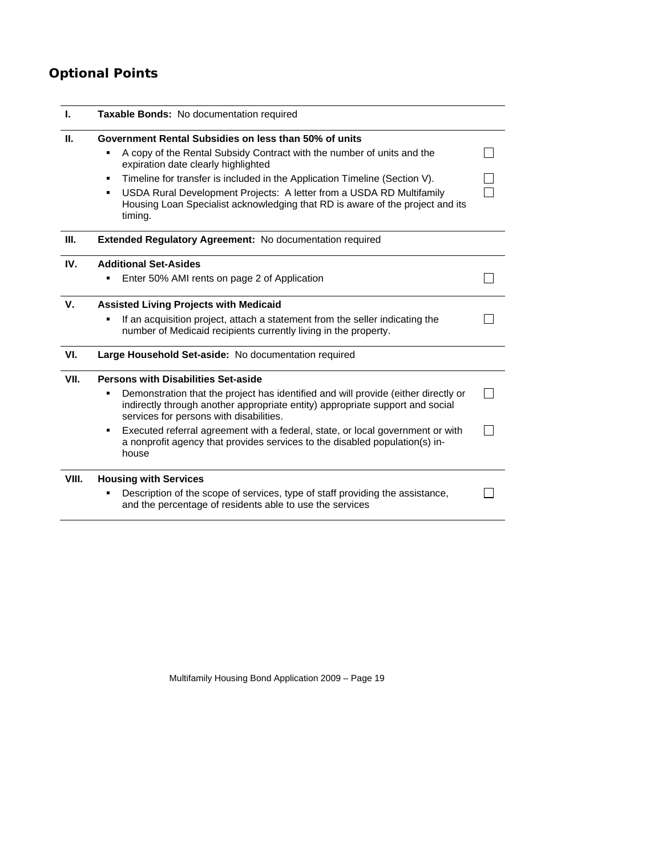# **Optional Points**

| L.    | <b>Taxable Bonds:</b> No documentation required                                                                                                                                                                |  |  |
|-------|----------------------------------------------------------------------------------------------------------------------------------------------------------------------------------------------------------------|--|--|
| Ш.    | Government Rental Subsidies on less than 50% of units                                                                                                                                                          |  |  |
|       | A copy of the Rental Subsidy Contract with the number of units and the<br>expiration date clearly highlighted                                                                                                  |  |  |
|       | Timeline for transfer is included in the Application Timeline (Section V).<br>٠                                                                                                                                |  |  |
|       | USDA Rural Development Projects: A letter from a USDA RD Multifamily<br>٠<br>Housing Loan Specialist acknowledging that RD is aware of the project and its<br>timing.                                          |  |  |
| III.  | <b>Extended Regulatory Agreement: No documentation required</b>                                                                                                                                                |  |  |
| IV.   | <b>Additional Set-Asides</b>                                                                                                                                                                                   |  |  |
|       | Enter 50% AMI rents on page 2 of Application                                                                                                                                                                   |  |  |
| V.    | <b>Assisted Living Projects with Medicaid</b>                                                                                                                                                                  |  |  |
|       | If an acquisition project, attach a statement from the seller indicating the<br>number of Medicaid recipients currently living in the property.                                                                |  |  |
| VI.   | Large Household Set-aside: No documentation required                                                                                                                                                           |  |  |
| VII.  | <b>Persons with Disabilities Set-aside</b>                                                                                                                                                                     |  |  |
|       | Demonstration that the project has identified and will provide (either directly or<br>indirectly through another appropriate entity) appropriate support and social<br>services for persons with disabilities. |  |  |
|       | Executed referral agreement with a federal, state, or local government or with<br>٠<br>a nonprofit agency that provides services to the disabled population(s) in-<br>house                                    |  |  |
| VIII. | <b>Housing with Services</b>                                                                                                                                                                                   |  |  |
|       | Description of the scope of services, type of staff providing the assistance,<br>and the percentage of residents able to use the services                                                                      |  |  |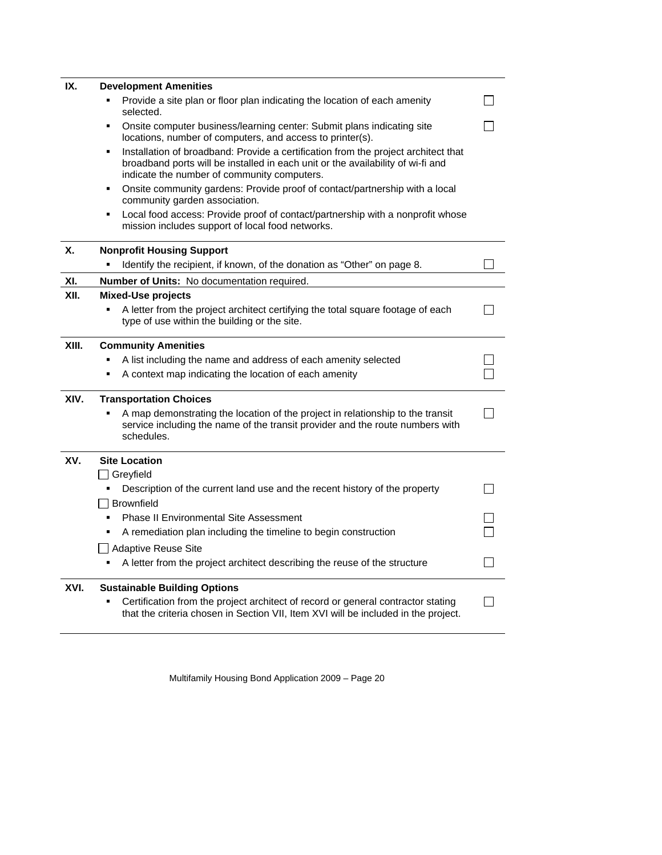| IX.   | <b>Development Amenities</b>                                                                                                                                                                                              |  |
|-------|---------------------------------------------------------------------------------------------------------------------------------------------------------------------------------------------------------------------------|--|
|       | Provide a site plan or floor plan indicating the location of each amenity<br>$\blacksquare$<br>selected.                                                                                                                  |  |
|       | Onsite computer business/learning center: Submit plans indicating site<br>٠<br>locations, number of computers, and access to printer(s).                                                                                  |  |
|       | Installation of broadband: Provide a certification from the project architect that<br>٠<br>broadband ports will be installed in each unit or the availability of wi-fi and<br>indicate the number of community computers. |  |
|       | Onsite community gardens: Provide proof of contact/partnership with a local<br>٠<br>community garden association.                                                                                                         |  |
|       | Local food access: Provide proof of contact/partnership with a nonprofit whose<br>٠<br>mission includes support of local food networks.                                                                                   |  |
| X.    | <b>Nonprofit Housing Support</b>                                                                                                                                                                                          |  |
|       | Identify the recipient, if known, of the donation as "Other" on page 8.                                                                                                                                                   |  |
| XI.   | <b>Number of Units:</b> No documentation required.                                                                                                                                                                        |  |
| XII.  | Mixed-Use projects                                                                                                                                                                                                        |  |
|       | A letter from the project architect certifying the total square footage of each<br>type of use within the building or the site.                                                                                           |  |
| XIII. | <b>Community Amenities</b>                                                                                                                                                                                                |  |
|       | A list including the name and address of each amenity selected                                                                                                                                                            |  |
|       | $\blacksquare$<br>A context map indicating the location of each amenity                                                                                                                                                   |  |
| XIV.  | <b>Transportation Choices</b>                                                                                                                                                                                             |  |
|       | A map demonstrating the location of the project in relationship to the transit<br>service including the name of the transit provider and the route numbers with<br>schedules.                                             |  |
| XV.   | <b>Site Location</b>                                                                                                                                                                                                      |  |
|       | $\Box$ Greyfield                                                                                                                                                                                                          |  |
|       | Description of the current land use and the recent history of the property<br>٠                                                                                                                                           |  |
|       | <b>Brownfield</b>                                                                                                                                                                                                         |  |
|       | <b>Phase II Environmental Site Assessment</b><br>٠                                                                                                                                                                        |  |
|       | A remediation plan including the timeline to begin construction<br>٠                                                                                                                                                      |  |
|       | Adaptive Reuse Site<br>A letter from the project architect describing the reuse of the structure<br>٠                                                                                                                     |  |
|       |                                                                                                                                                                                                                           |  |
| XVI.  | <b>Sustainable Building Options</b><br>Certification from the project architect of record or general contractor stating<br>that the criteria chosen in Section VII, Item XVI will be included in the project.             |  |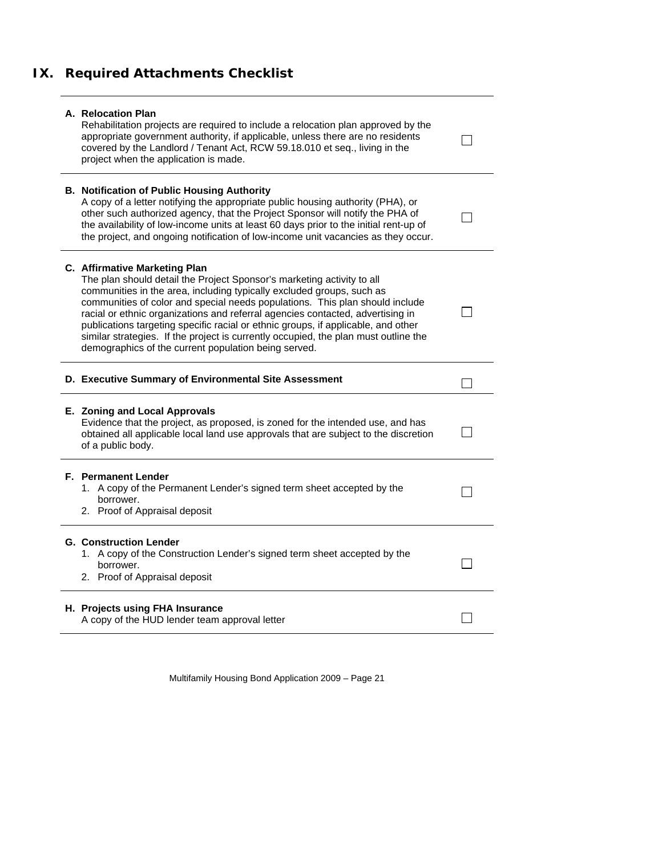# **IX. Required Attachments Checklist**

| A. Relocation Plan<br>Rehabilitation projects are required to include a relocation plan approved by the<br>appropriate government authority, if applicable, unless there are no residents<br>covered by the Landlord / Tenant Act, RCW 59.18.010 et seq., living in the<br>project when the application is made.                                                                                                                                                                                                                                                                       |  |
|----------------------------------------------------------------------------------------------------------------------------------------------------------------------------------------------------------------------------------------------------------------------------------------------------------------------------------------------------------------------------------------------------------------------------------------------------------------------------------------------------------------------------------------------------------------------------------------|--|
| <b>B. Notification of Public Housing Authority</b><br>A copy of a letter notifying the appropriate public housing authority (PHA), or<br>other such authorized agency, that the Project Sponsor will notify the PHA of<br>the availability of low-income units at least 60 days prior to the initial rent-up of<br>the project, and ongoing notification of low-income unit vacancies as they occur.                                                                                                                                                                                   |  |
| C. Affirmative Marketing Plan<br>The plan should detail the Project Sponsor's marketing activity to all<br>communities in the area, including typically excluded groups, such as<br>communities of color and special needs populations. This plan should include<br>racial or ethnic organizations and referral agencies contacted, advertising in<br>publications targeting specific racial or ethnic groups, if applicable, and other<br>similar strategies. If the project is currently occupied, the plan must outline the<br>demographics of the current population being served. |  |
| D. Executive Summary of Environmental Site Assessment                                                                                                                                                                                                                                                                                                                                                                                                                                                                                                                                  |  |
| E. Zoning and Local Approvals<br>Evidence that the project, as proposed, is zoned for the intended use, and has<br>obtained all applicable local land use approvals that are subject to the discretion<br>of a public body.                                                                                                                                                                                                                                                                                                                                                            |  |
| <b>F.</b> Permanent Lender<br>1. A copy of the Permanent Lender's signed term sheet accepted by the<br>borrower.<br>2. Proof of Appraisal deposit                                                                                                                                                                                                                                                                                                                                                                                                                                      |  |
| <b>G. Construction Lender</b>                                                                                                                                                                                                                                                                                                                                                                                                                                                                                                                                                          |  |
| 1. A copy of the Construction Lender's signed term sheet accepted by the<br>borrower.<br>2. Proof of Appraisal deposit                                                                                                                                                                                                                                                                                                                                                                                                                                                                 |  |